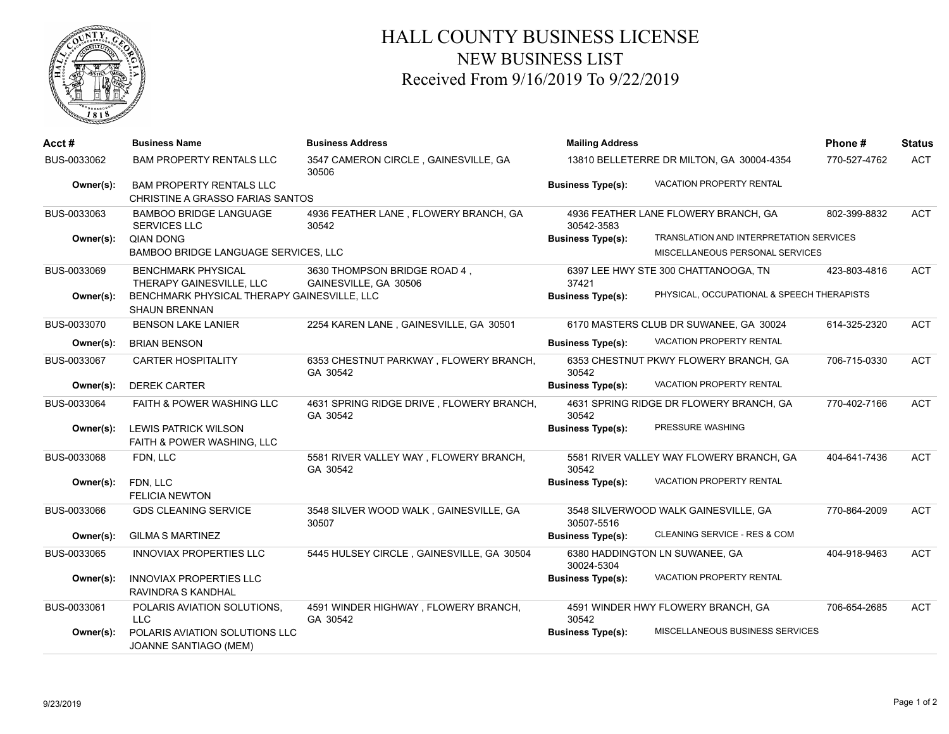

## HALL COUNTY BUSINESS LICENSE NEW BUSINESS LIST Received From 9/16/2019 To 9/22/2019

| Acct#       | <b>Business Name</b>                                                | <b>Business Address</b>                               | <b>Mailing Address</b><br>13810 BELLETERRE DR MILTON, GA 30004-4354 |                                            | Phone#       | <b>Status</b> |
|-------------|---------------------------------------------------------------------|-------------------------------------------------------|---------------------------------------------------------------------|--------------------------------------------|--------------|---------------|
| BUS-0033062 | <b>BAM PROPERTY RENTALS LLC</b>                                     | 3547 CAMERON CIRCLE, GAINESVILLE, GA<br>30506         |                                                                     |                                            | 770-527-4762 | <b>ACT</b>    |
| Owner(s):   | <b>BAM PROPERTY RENTALS LLC</b><br>CHRISTINE A GRASSO FARIAS SANTOS |                                                       | <b>Business Type(s):</b>                                            | <b>VACATION PROPERTY RENTAL</b>            |              |               |
| BUS-0033063 | <b>BAMBOO BRIDGE LANGUAGE</b><br>SERVICES LLC                       | 4936 FEATHER LANE, FLOWERY BRANCH, GA<br>30542        | 30542-3583                                                          | 4936 FEATHER LANE FLOWERY BRANCH, GA       | 802-399-8832 | <b>ACT</b>    |
| Owner(s):   | <b>QIAN DONG</b>                                                    |                                                       | <b>Business Type(s):</b>                                            | TRANSLATION AND INTERPRETATION SERVICES    |              |               |
|             | BAMBOO BRIDGE LANGUAGE SERVICES, LLC                                |                                                       |                                                                     | MISCELLANEOUS PERSONAL SERVICES            |              |               |
| BUS-0033069 | <b>BENCHMARK PHYSICAL</b><br>THERAPY GAINESVILLE, LLC               | 3630 THOMPSON BRIDGE ROAD 4,<br>GAINESVILLE, GA 30506 | 37421                                                               | 6397 LEE HWY STE 300 CHATTANOOGA, TN       | 423-803-4816 | <b>ACT</b>    |
| Owner(s):   | BENCHMARK PHYSICAL THERAPY GAINESVILLE, LLC<br><b>SHAUN BRENNAN</b> |                                                       | <b>Business Type(s):</b>                                            | PHYSICAL, OCCUPATIONAL & SPEECH THERAPISTS |              |               |
| BUS-0033070 | <b>BENSON LAKE LANIER</b>                                           | 2254 KAREN LANE, GAINESVILLE, GA 30501                |                                                                     | 6170 MASTERS CLUB DR SUWANEE, GA 30024     | 614-325-2320 | <b>ACT</b>    |
| Owner(s):   | <b>BRIAN BENSON</b>                                                 |                                                       | <b>Business Type(s):</b>                                            | <b>VACATION PROPERTY RENTAL</b>            |              |               |
| BUS-0033067 | <b>CARTER HOSPITALITY</b>                                           | 6353 CHESTNUT PARKWAY, FLOWERY BRANCH,<br>GA 30542    | 30542                                                               | 6353 CHESTNUT PKWY FLOWERY BRANCH, GA      | 706-715-0330 | <b>ACT</b>    |
| Owner(s):   | <b>DEREK CARTER</b>                                                 |                                                       | <b>Business Type(s):</b>                                            | <b>VACATION PROPERTY RENTAL</b>            |              |               |
| BUS-0033064 | <b>FAITH &amp; POWER WASHING LLC</b>                                | 4631 SPRING RIDGE DRIVE, FLOWERY BRANCH,<br>GA 30542  | 30542                                                               | 4631 SPRING RIDGE DR FLOWERY BRANCH, GA    | 770-402-7166 | <b>ACT</b>    |
| Owner(s):   | <b>LEWIS PATRICK WILSON</b>                                         |                                                       | <b>Business Type(s):</b>                                            | PRESSURE WASHING                           |              |               |
|             | <b>FAITH &amp; POWER WASHING, LLC</b>                               |                                                       |                                                                     |                                            |              |               |
| BUS-0033068 | FDN, LLC                                                            | 5581 RIVER VALLEY WAY, FLOWERY BRANCH,<br>GA 30542    | 30542                                                               | 5581 RIVER VALLEY WAY FLOWERY BRANCH, GA   | 404-641-7436 | <b>ACT</b>    |
| Owner(s):   | FDN, LLC<br><b>FELICIA NEWTON</b>                                   |                                                       | <b>Business Type(s):</b>                                            | <b>VACATION PROPERTY RENTAL</b>            |              |               |
| BUS-0033066 | <b>GDS CLEANING SERVICE</b>                                         | 3548 SILVER WOOD WALK, GAINESVILLE, GA<br>30507       | 30507-5516                                                          | 3548 SILVERWOOD WALK GAINESVILLE, GA       | 770-864-2009 | <b>ACT</b>    |
| Owner(s):   | <b>GILMA S MARTINEZ</b>                                             |                                                       | <b>Business Type(s):</b>                                            | CLEANING SERVICE - RES & COM               |              |               |
| BUS-0033065 | <b>INNOVIAX PROPERTIES LLC</b>                                      | 5445 HULSEY CIRCLE, GAINESVILLE, GA 30504             | 30024-5304                                                          | 6380 HADDINGTON LN SUWANEE, GA             | 404-918-9463 | <b>ACT</b>    |
| Owner(s):   | <b>INNOVIAX PROPERTIES LLC</b><br>RAVINDRA S KANDHAL                |                                                       | <b>Business Type(s):</b>                                            | <b>VACATION PROPERTY RENTAL</b>            |              |               |
| BUS-0033061 | POLARIS AVIATION SOLUTIONS,<br><b>LLC</b>                           | 4591 WINDER HIGHWAY, FLOWERY BRANCH,<br>GA 30542      | 30542                                                               | 4591 WINDER HWY FLOWERY BRANCH, GA         | 706-654-2685 | <b>ACT</b>    |
| Owner(s):   | POLARIS AVIATION SOLUTIONS LLC<br>JOANNE SANTIAGO (MEM)             |                                                       | <b>Business Type(s):</b>                                            | MISCELLANEOUS BUSINESS SERVICES            |              |               |